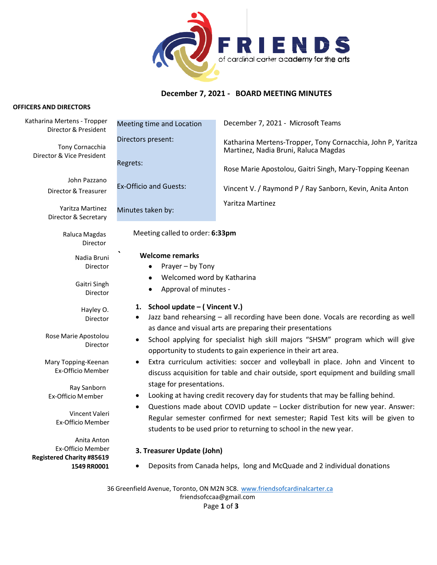

# **December 7, 2021 - BOARD MEETING MINUTES**

#### **OFFICERS AND DIRECTORS**

| Katharina Mertens - Tropper<br>Director & President                                                  | Meeting time and Location                                                                                                                                                                                                                                                                                                                                                                                                                                                                                                                       | December 7, 2021 - Microsoft Teams                                                                  |
|------------------------------------------------------------------------------------------------------|-------------------------------------------------------------------------------------------------------------------------------------------------------------------------------------------------------------------------------------------------------------------------------------------------------------------------------------------------------------------------------------------------------------------------------------------------------------------------------------------------------------------------------------------------|-----------------------------------------------------------------------------------------------------|
| Tony Cornacchia<br>Director & Vice President                                                         | Directors present:                                                                                                                                                                                                                                                                                                                                                                                                                                                                                                                              | Katharina Mertens-Tropper, Tony Cornacchia, John P, Yaritza<br>Martinez, Nadia Bruni, Raluca Magdas |
|                                                                                                      | Regrets:                                                                                                                                                                                                                                                                                                                                                                                                                                                                                                                                        | Rose Marie Apostolou, Gaitri Singh, Mary-Topping Keenan                                             |
| John Pazzano<br>Director & Treasurer                                                                 | <b>Ex-Officio and Guests:</b>                                                                                                                                                                                                                                                                                                                                                                                                                                                                                                                   | Vincent V. / Raymond P / Ray Sanborn, Kevin, Anita Anton                                            |
| Yaritza Martinez<br>Director & Secretary                                                             | Minutes taken by:                                                                                                                                                                                                                                                                                                                                                                                                                                                                                                                               | Yaritza Martinez                                                                                    |
| Raluca Magdas<br>Director                                                                            | Meeting called to order: 6:33pm                                                                                                                                                                                                                                                                                                                                                                                                                                                                                                                 |                                                                                                     |
| Nadia Bruni<br>Director                                                                              | <b>Welcome remarks</b><br>Prayer - by Tony                                                                                                                                                                                                                                                                                                                                                                                                                                                                                                      |                                                                                                     |
| Gaitri Singh<br>Director                                                                             | Welcomed word by Katharina<br>٠<br>Approval of minutes -<br>٠                                                                                                                                                                                                                                                                                                                                                                                                                                                                                   |                                                                                                     |
| Hayley O.<br>Director                                                                                | 1. School update – (Vincent V.)<br>Jazz band rehearsing - all recording have been done. Vocals are recording as well                                                                                                                                                                                                                                                                                                                                                                                                                            |                                                                                                     |
| Rose Marie Apostolou<br>Director                                                                     | as dance and visual arts are preparing their presentations<br>School applying for specialist high skill majors "SHSM" program which will give<br>opportunity to students to gain experience in their art area.                                                                                                                                                                                                                                                                                                                                  |                                                                                                     |
| Mary Topping-Keenan<br>Ex-Officio Member                                                             | Extra curriculum activities: soccer and volleyball in place. John and Vincent to<br>discuss acquisition for table and chair outside, sport equipment and building small<br>stage for presentations.<br>Looking at having credit recovery day for students that may be falling behind.<br>٠<br>Questions made about COVID update - Locker distribution for new year. Answer:<br>$\bullet$<br>Regular semester confirmed for next semester; Rapid Test kits will be given to<br>students to be used prior to returning to school in the new year. |                                                                                                     |
| Ray Sanborn<br>Ex-Officio Member                                                                     |                                                                                                                                                                                                                                                                                                                                                                                                                                                                                                                                                 |                                                                                                     |
| Vincent Valeri<br>Ex-Officio Member                                                                  |                                                                                                                                                                                                                                                                                                                                                                                                                                                                                                                                                 |                                                                                                     |
| Anita Anton                                                                                          |                                                                                                                                                                                                                                                                                                                                                                                                                                                                                                                                                 |                                                                                                     |
| Ex-Officio Member<br><b>Registered Charity #85619</b>                                                | 3. Treasurer Update (John)                                                                                                                                                                                                                                                                                                                                                                                                                                                                                                                      |                                                                                                     |
| 1549 RR0001                                                                                          | Deposits from Canada helps, long and McQuade and 2 individual donations<br>٠                                                                                                                                                                                                                                                                                                                                                                                                                                                                    |                                                                                                     |
| 36 Greenfield Avenue, Toronto, ON M2N 3C8. www.friendsofcardinalcarter.ca<br>friendsofccaa@gmail.com |                                                                                                                                                                                                                                                                                                                                                                                                                                                                                                                                                 |                                                                                                     |

Page **1** of **3**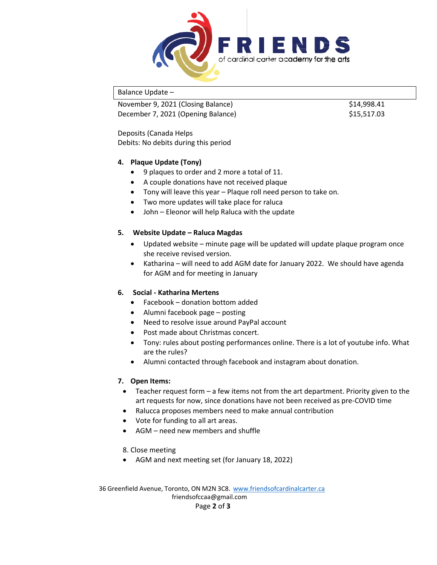

Balance Update –

November 9, 2021 (Closing Balance) \$14,998.41 December 7, 2021 (Opening Balance) \$15,517.03

Deposits (Canada Helps Debits: No debits during this period

### **4. Plaque Update (Tony)**

- 9 plaques to order and 2 more a total of 11.
- A couple donations have not received plaque
- Tony will leave this year Plaque roll need person to take on.
- Two more updates will take place for raluca
- John Eleonor will help Raluca with the update

### **5. Website Update – Raluca Magdas**

- Updated website minute page will be updated will update plaque program once she receive revised version.
- Katharina will need to add AGM date for January 2022. We should have agenda for AGM and for meeting in January

## **6. Social - Katharina Mertens**

- Facebook donation bottom added
- Alumni facebook page posting
- Need to resolve issue around PayPal account
- Post made about Christmas concert.
- Tony: rules about posting performances online. There is a lot of youtube info. What are the rules?
- Alumni contacted through facebook and instagram about donation.

#### **7. Open Items:**

- Teacher request form a few items not from the art department. Priority given to the art requests for now, since donations have not been received as pre-COVID time
- Ralucca proposes members need to make annual contribution
- Vote for funding to all art areas.
- AGM need new members and shuffle

8. Close meeting

• AGM and next meeting set (for January 18, 2022)

36 Greenfield Avenue, Toronto, ON M2N 3C8. [www.friendsofcardinalcarter.ca](http://www.friendsofcardinalcarter.ca/) [friendsofccaa@gmail.com](mailto:friendsofccaa@gmail.com) Page **2** of **3**